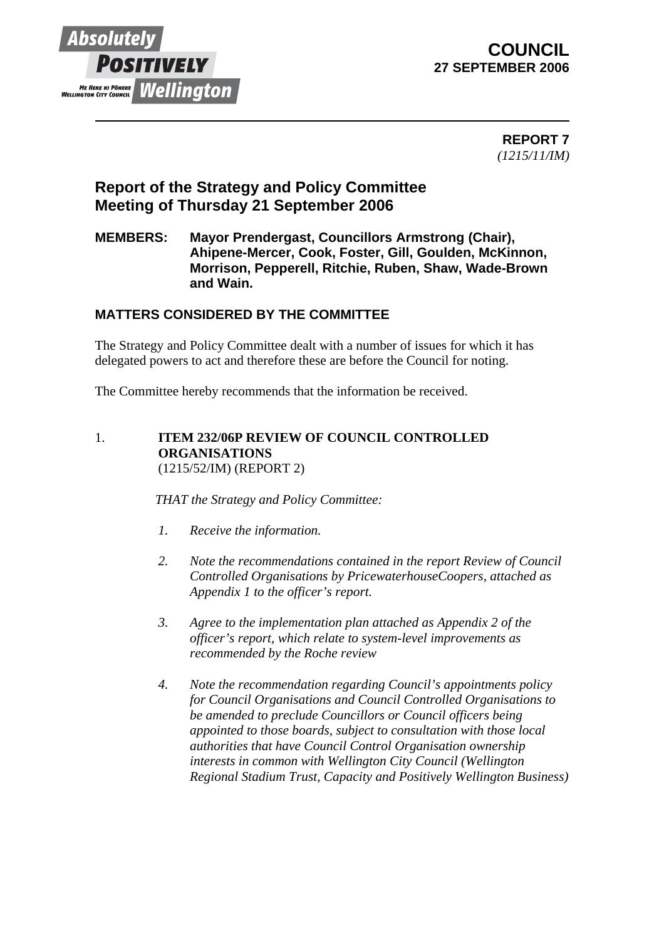

# **COUNCIL 27 SEPTEMBER 2006**

 **REPORT 7** *(1215/11/IM)*

# **Report of the Strategy and Policy Committee Meeting of Thursday 21 September 2006**

### **MEMBERS: Mayor Prendergast, Councillors Armstrong (Chair), Ahipene-Mercer, Cook, Foster, Gill, Goulden, McKinnon, Morrison, Pepperell, Ritchie, Ruben, Shaw, Wade-Brown and Wain.**

## **MATTERS CONSIDERED BY THE COMMITTEE**

The Strategy and Policy Committee dealt with a number of issues for which it has delegated powers to act and therefore these are before the Council for noting.

The Committee hereby recommends that the information be received.

#### 1. **ITEM 232/06P REVIEW OF COUNCIL CONTROLLED ORGANISATIONS**  (1215/52/IM) (REPORT 2)

*THAT the Strategy and Policy Committee:* 

- *1. Receive the information.*
- *2. Note the recommendations contained in the report Review of Council Controlled Organisations by PricewaterhouseCoopers, attached as Appendix 1 to the officer's report.*
- *3. Agree to the implementation plan attached as Appendix 2 of the officer's report, which relate to system-level improvements as recommended by the Roche review*
- *4. Note the recommendation regarding Council's appointments policy for Council Organisations and Council Controlled Organisations to be amended to preclude Councillors or Council officers being appointed to those boards, subject to consultation with those local authorities that have Council Control Organisation ownership interests in common with Wellington City Council (Wellington Regional Stadium Trust, Capacity and Positively Wellington Business)*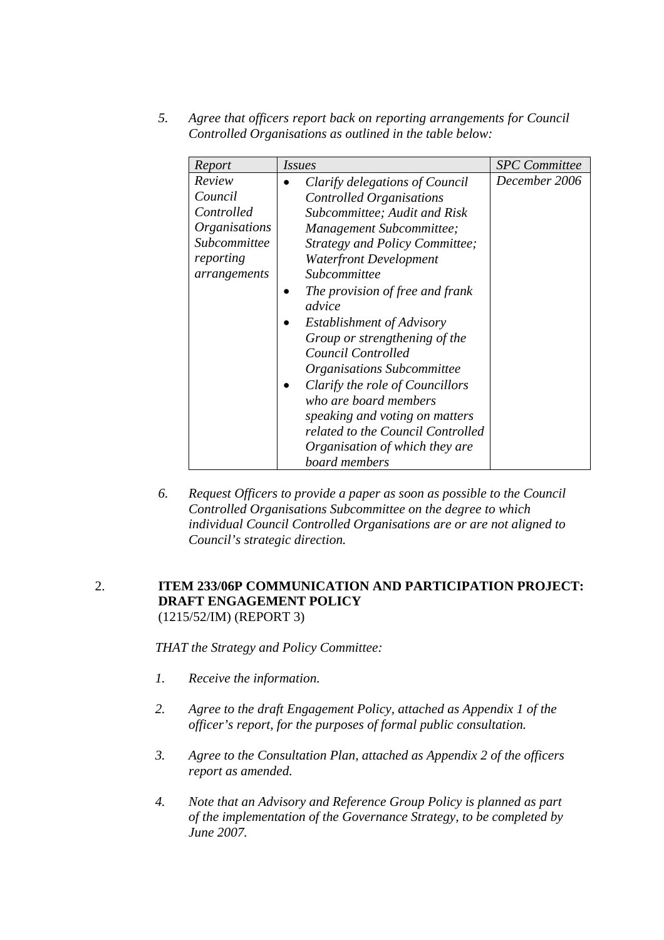*5. Agree that officers report back on reporting arrangements for Council Controlled Organisations as outlined in the table below:* 

| Report                                                                                                      | <i>Issues</i>                                                                                                                                                                                                                                                                                                                                                                                                                                                                                                                                                                | <b>SPC</b> Committee |
|-------------------------------------------------------------------------------------------------------------|------------------------------------------------------------------------------------------------------------------------------------------------------------------------------------------------------------------------------------------------------------------------------------------------------------------------------------------------------------------------------------------------------------------------------------------------------------------------------------------------------------------------------------------------------------------------------|----------------------|
| Review<br>Council<br>Controlled<br><i><b>Organisations</b></i><br>Subcommittee<br>reporting<br>arrangements | Clarify delegations of Council<br><b>Controlled Organisations</b><br>Subcommittee; Audit and Risk<br>Management Subcommittee;<br>Strategy and Policy Committee;<br><b>Waterfront Development</b><br>Subcommittee<br>The provision of free and frank<br>advice<br><b>Establishment of Advisory</b><br>Group or strengthening of the<br>Council Controlled<br>Organisations Subcommittee<br>Clarify the role of Councillors<br>who are board members<br>speaking and voting on matters<br>related to the Council Controlled<br>Organisation of which they are<br>board members | December 2006        |

*6. Request Officers to provide a paper as soon as possible to the Council Controlled Organisations Subcommittee on the degree to which individual Council Controlled Organisations are or are not aligned to Council's strategic direction.* 

#### 2. **ITEM 233/06P COMMUNICATION AND PARTICIPATION PROJECT: DRAFT ENGAGEMENT POLICY**  (1215/52/IM) (REPORT 3)

*THAT the Strategy and Policy Committee:* 

- *1. Receive the information.*
- *2. Agree to the draft Engagement Policy, attached as Appendix 1 of the officer's report, for the purposes of formal public consultation.*
- *3. Agree to the Consultation Plan, attached as Appendix 2 of the officers report as amended.*
- *4. Note that an Advisory and Reference Group Policy is planned as part of the implementation of the Governance Strategy, to be completed by June 2007.*